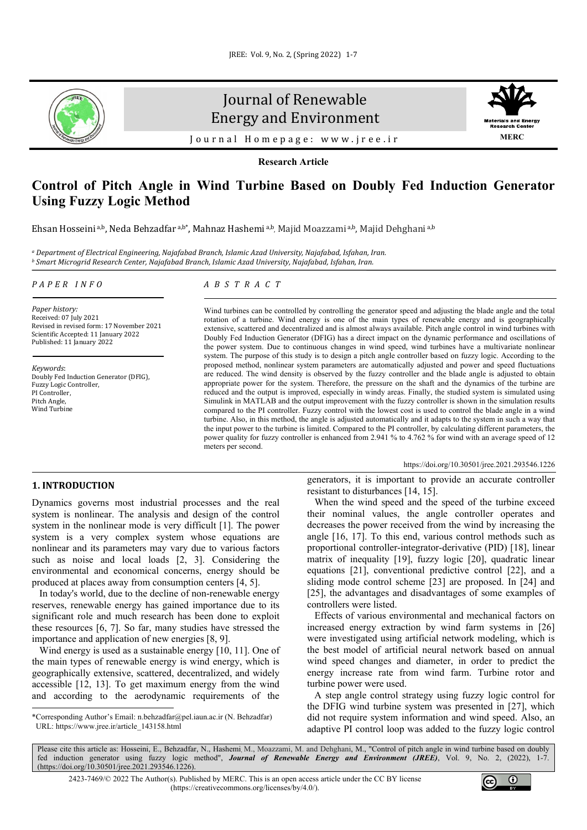

# Journal of Renewable Energy and Environment



Journal Homepage: [www.jree.ir](http://www.jree.ir/)

**Research Article**

# **Control of Pitch Angle in Wind Turbine Based on Doubly Fed Induction Generator Using Fuzzy Logic Method**

Ehsan Hosseini a,b, Neda Behzadfar a,b\*, Mahnaz Hashemi a,b<sub>,</sub> Majid Moazzami a,b, Majid Dehghani a,b

<sup>a</sup> Department of Electrical Engineering, Najafabad Branch, Islamic Azad University, Najafabad, Isfahan, Iran.<br><sup>b</sup> Smart Microgrid Research Center, Najafabad Branch, Islamic Azad University, Najafabad, Isfahan, Iran.

#### *PAPER INFO*

*Paper history:* Received: 07 July 2021 Revised in revised form: 17 November 2021 Scientific Accepted: 11 January 2022 Published: 11 January 2022

*Keywords*: Doubly Fed Induction Generator (DFIG), Fuzzy Logic Controller, PI Controller. Pitch Angle, Wind Turbine

# *ABSTRACT*

Wind turbines can be controlled by controlling the generator speed and adjusting the blade angle and the total rotation of a turbine. Wind energy is one of the main types of renewable energy and is geographically extensive, scattered and decentralized and is almost always available. Pitch angle control in wind turbines with Doubly Fed Induction Generator (DFIG) has a direct impact on the dynamic performance and oscillations of the power system. Due to continuous changes in wind speed, wind turbines have a multivariate nonlinear system. The purpose of this study is to design a pitch angle controller based on fuzzy logic. According to the proposed method, nonlinear system parameters are automatically adjusted and power and speed fluctuations are reduced. The wind density is observed by the fuzzy controller and the blade angle is adjusted to obtain appropriate power for the system. Therefore, the pressure on the shaft and the dynamics of the turbine are reduced and the output is improved, especially in windy areas. Finally, the studied system is simulated using Simulink in MATLAB and the output improvement with the fuzzy controller is shown in the simulation results compared to the PI controller. Fuzzy control with the lowest cost is used to control the blade angle in a wind turbine. Also, in this method, the angle is adjusted automatically and it adapts to the system in such a way that the input power to the turbine is limited. Compared to the PI controller, by calculating different parameters, the power quality for fuzzy controller is enhanced from 2.941 % to 4.762 % for wind with an average speed of 12 meters per second.

#### <https://doi.org/10.30501/jree.2021.293546.1226>

# **1. INTRODUCTION[1](#page-0-0)**

Dynamics governs most industrial processes and the real system is nonlinear. The analysis and design of the control system in the nonlinear mode is very difficult [1]. The power system is a very complex system whose equations are nonlinear and its parameters may vary due to various factors such as noise and local loads [2, 3]. Considering the environmental and economical concerns, energy should be produced at places away from consumption centers [4, 5].

 In today's world, due to the decline of non-renewable energy reserves, renewable energy has gained importance due to its significant role and much research has been done to exploit these resources [6, 7]. So far, many studies have stressed the importance and application of new energies [8, 9].

Wind energy is used as a sustainable energy [10, 11]. One of the main types of renewable energy is wind energy, which is geographically extensive, scattered, decentralized, and widely accessible [12, 13]. To get maximum energy from the wind and according to the aerodynamic requirements of the generators, it is important to provide an accurate controller resistant to disturbances [14, 15].

 When the wind speed and the speed of the turbine exceed their nominal values, the angle controller operates and decreases the power received from the wind by increasing the angle [16, 17]. To this end, various control methods such as proportional controller-integrator-derivative (PID) [18], linear matrix of inequality [19], fuzzy logic [20], quadratic linear equations [21], conventional predictive control [22], and a sliding mode control scheme [23] are proposed. In [24] and [25], the advantages and disadvantages of some examples of controllers were listed.

 Effects of various environmental and mechanical factors on increased energy extraction by wind farm systems in [26] were investigated using artificial network modeling, which is the best model of artificial neural network based on annual wind speed changes and diameter, in order to predict the energy increase rate from wind farm. Turbine rotor and turbine power were used.

 A step angle control strategy using fuzzy logic control for the DFIG wind turbine system was presented in [27], which did not require system information and wind speed. Also, an adaptive PI control loop was added to the fuzzy logic control

Please cite this article as: Hosseini, E., Behzadfar, N., Hashemi M., Moazzami, M. and Dehghani, M., "Control of pitch angle in wind turbine based on doubly fed induction generator using fuzzy logic method", *Journal of Renewable Energy and Environment (JREE)*, Vol. 9, No. 2, (2022), 1-7. [\(https://doi.org/10.30501/jree.2021.293546.1226\)](https://doi.org/10.30501/jree.2021.293546.1226).

2423-7469/© 2022 The Author(s). Published by [MERC.](https://en.merc.ac.ir/) This is an open access article under the CC BY license [\(https://creativecommons.org/licenses/by/4.0/\)](https://creativecommons.org/licenses/by/4.0/).



<span id="page-0-0"></span><sup>\*</sup>Corresponding Author's Email[: n.behzadfar@pel.iaun.ac.ir](mailto:n.behzadfar@pel.iaun.ac.ir) (N. Behzadfar) URL[: https://www.jree.ir/article\\_143158.html](https://www.jree.ir/article_143158.html)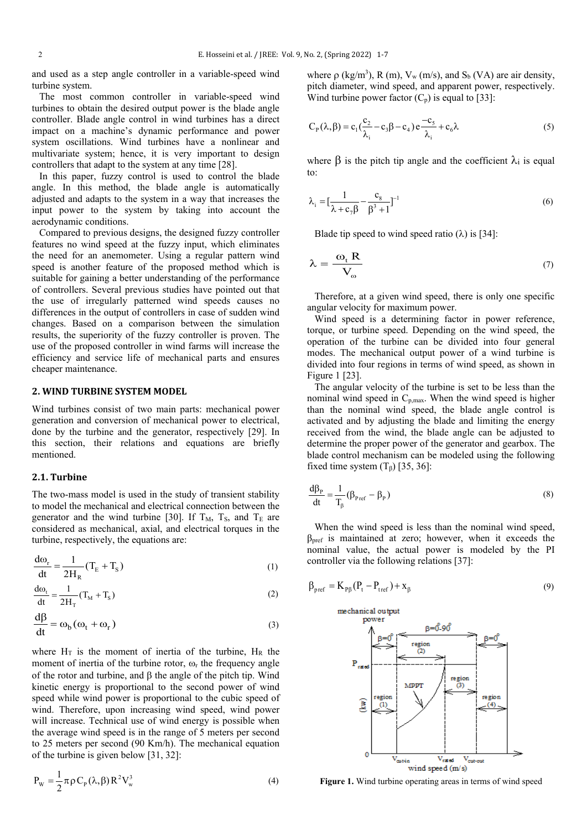and used as a step angle controller in a variable-speed wind turbine system.

 The most common controller in variable-speed wind turbines to obtain the desired output power is the blade angle controller. Blade angle control in wind turbines has a direct impact on a machine's dynamic performance and power system oscillations. Wind turbines have a nonlinear and multivariate system; hence, it is very important to design controllers that adapt to the system at any time [28].

 In this paper, fuzzy control is used to control the blade angle. In this method, the blade angle is automatically adjusted and adapts to the system in a way that increases the input power to the system by taking into account the aerodynamic conditions.

 Compared to previous designs, the designed fuzzy controller features no wind speed at the fuzzy input, which eliminates the need for an anemometer. Using a regular pattern wind speed is another feature of the proposed method which is suitable for gaining a better understanding of the performance of controllers. Several previous studies have pointed out that the use of irregularly patterned wind speeds causes no differences in the output of controllers in case of sudden wind changes. Based on a comparison between the simulation results, the superiority of the fuzzy controller is proven. The use of the proposed controller in wind farms will increase the efficiency and service life of mechanical parts and ensures cheaper maintenance.

## **2. WIND TURBINE SYSTEM MODEL**

Wind turbines consist of two main parts: mechanical power generation and conversion of mechanical power to electrical, done by the turbine and the generator, respectively [29]. In this section, their relations and equations are briefly mentioned.

# **2.1. Turbine**

The two-mass model is used in the study of transient stability to model the mechanical and electrical connection between the generator and the wind turbine [30]. If  $T_M$ ,  $T_S$ , and  $T_E$  are considered as mechanical, axial, and electrical torques in the turbine, respectively, the equations are:

$$
\frac{d\omega_r}{dt} = \frac{1}{2H_R} (T_E + T_S)
$$
 (1)

$$
\frac{d\omega_t}{dt} = \frac{1}{2H_T}(T_M + T_s)
$$
\n(2)

$$
\frac{d\beta}{dt} = \omega_b (\omega_t + \omega_r)
$$
 (3)

where  $H_T$  is the moment of inertia of the turbine,  $H_R$  the moment of inertia of the turbine rotor,  $\omega_r$  the frequency angle of the rotor and turbine, and β the angle of the pitch tip. Wind kinetic energy is proportional to the second power of wind speed while wind power is proportional to the cubic speed of wind. Therefore, upon increasing wind speed, wind power will increase. Technical use of wind energy is possible when the average wind speed is in the range of 5 meters per second to 25 meters per second (90 Km/h). The mechanical equation of the turbine is given below [31, 32]:

$$
P_{\rm w} = \frac{1}{2} \pi \rho C_{\rm p}(\lambda, \beta) R^2 V_{\rm w}^3 \tag{4}
$$

where  $\rho$  (kg/m<sup>3</sup>), R (m), V<sub>w</sub> (m/s), and S<sub>b</sub> (VA) are air density, pitch diameter, wind speed, and apparent power, respectively. Wind turbine power factor  $(C_p)$  is equal to [33]:

$$
C_{P}(\lambda, \beta) = c_1(\frac{c_2}{\lambda_i} - c_3\beta - c_4) e^{-\frac{c_5}{\lambda_i}} + c_6\lambda
$$
 (5)

where  $\beta$  is the pitch tip angle and the coefficient  $\lambda_i$  is equal to:

$$
\lambda_{i} = \left[\frac{1}{\lambda + c_{7}\beta} - \frac{c_{8}}{\beta^{3} + 1}\right]^{-1}
$$
\n(6)

Blade tip speed to wind speed ratio  $(\lambda)$  is [34]:

$$
\lambda = \frac{\omega_{t} R}{V_{\omega}}
$$
 (7)

 Therefore, at a given wind speed, there is only one specific angular velocity for maximum power.

 Wind speed is a determining factor in power reference, torque, or turbine speed. Depending on the wind speed, the operation of the turbine can be divided into four general modes. The mechanical output power of a wind turbine is divided into four regions in terms of wind speed, as shown in Figure 1 [23].

 The angular velocity of the turbine is set to be less than the nominal wind speed in  $C_{p,max}$ . When the wind speed is higher than the nominal wind speed, the blade angle control is activated and by adjusting the blade and limiting the energy received from the wind, the blade angle can be adjusted to determine the proper power of the generator and gearbox. The blade control mechanism can be modeled using the following fixed time system  $(T_\beta)$  [35, 36]:

$$
\frac{d\beta_P}{dt} = \frac{1}{T_\beta} (\beta_{\text{Pref}} - \beta_P)
$$
\n(8)

 When the wind speed is less than the nominal wind speed, βpref is maintained at zero; however, when it exceeds the nominal value, the actual power is modeled by the PI controller via the following relations [37]:

$$
\beta_{\text{pref}} = K_{\text{pp}}(P_t - P_{\text{tref}}) + x_{\beta} \tag{9}
$$



**Figure 1.** Wind turbine operating areas in terms of wind speed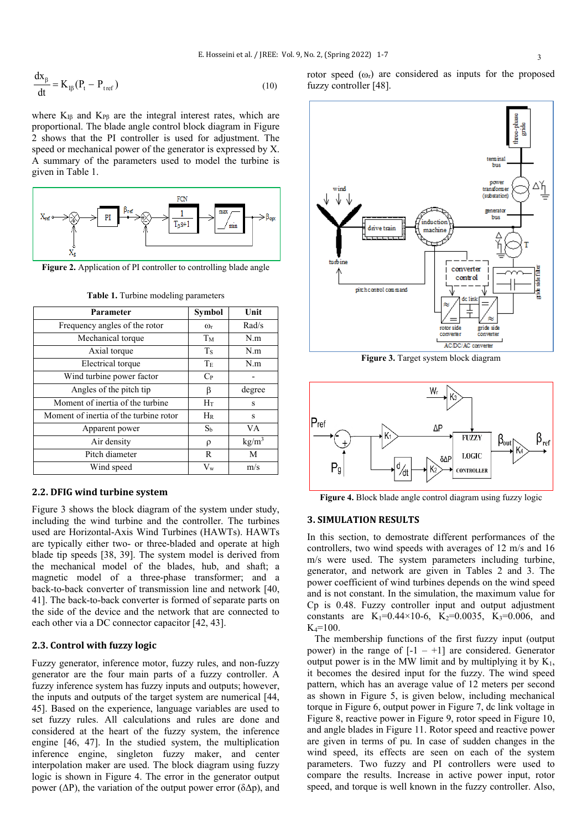$$
\frac{dx_{\beta}}{dt} = K_{I\beta}(P_t - P_{tref})
$$
\n(10)

where  $K_{IB}$  and  $K_{PB}$  are the integral interest rates, which are proportional. The blade angle control block diagram in Figure 2 shows that the PI controller is used for adjustment. The speed or mechanical power of the generator is expressed by X. A summary of the parameters used to model the turbine is given in Table 1.



**Figure 2.** Application of PI controller to controlling blade angle

| Parameter                              | Symbol                | Unit              |
|----------------------------------------|-----------------------|-------------------|
| Frequency angles of the rotor          | $\omega$ <sub>r</sub> | Rad/s             |
| Mechanical torque                      | Tм                    | N.m               |
| Axial torque                           | <b>Ts</b>             | N.m               |
| Electrical torque                      | Te                    | N.m               |
| Wind turbine power factor              | $C_{P}$               |                   |
| Angles of the pitch tip                | β                     | degree            |
| Moment of inertia of the turbine       | Ηт                    | S                 |
| Moment of inertia of the turbine rotor | $H_R$                 | S                 |
| Apparent power                         | S <sub>b</sub>        | <b>VA</b>         |
| Air density                            | ρ                     | kg/m <sup>3</sup> |
| Pitch diameter                         | R                     | M                 |
| Wind speed                             | $V_{w}$               | m/s               |

**Table 1.** Turbine modeling parameters

#### **2.2. DFIG wind turbine system**

Figure 3 shows the block diagram of the system under study, including the wind turbine and the controller. The turbines used are Horizontal-Axis Wind Turbines (HAWTs). HAWTs are typically either two- or three-bladed and operate at high blade tip speeds [38, 39]. The system model is derived from the mechanical model of the blades, hub, and shaft; a magnetic model of a three-phase transformer; and a back-to-back converter of transmission line and network [40, 41]. The back-to-back converter is formed of separate parts on the side of the device and the network that are connected to each other via a DC connector capacitor [42, 43].

## **2.3. Control with fuzzy logic**

Fuzzy generator, inference motor, fuzzy rules, and non-fuzzy generator are the four main parts of a fuzzy controller. A fuzzy inference system has fuzzy inputs and outputs; however, the inputs and outputs of the target system are numerical [44, 45]. Based on the experience, language variables are used to set fuzzy rules. All calculations and rules are done and considered at the heart of the fuzzy system, the inference engine [46, 47]. In the studied system, the multiplication inference engine, singleton fuzzy maker, and center interpolation maker are used. The block diagram using fuzzy logic is shown in Figure 4. The error in the generator output power ( $ΔP$ ), the variation of the output power error ( $δΔp$ ), and

rotor speed  $(\omega_r)$  are considered as inputs for the proposed fuzzy controller [48].



**Figure 3.** Target system block diagram



**Figure 4.** Block blade angle control diagram using fuzzy logic

#### **3. SIMULATION RESULTS**

In this section, to demostrate different performances of the controllers, two wind speeds with averages of 12 m/s and 16 m/s were used. The system parameters including turbine, generator, and network are given in Tables 2 and 3. The power coefficient of wind turbines depends on the wind speed and is not constant. In the simulation, the maximum value for Cp is 0.48. Fuzzy controller input and output adjustment constants are K<sub>1</sub>=0.44×10-6, K<sub>2</sub>=0.0035, K<sub>3</sub>=0.006, and  $K_4 = 100$ .

 The membership functions of the first fuzzy input (output power) in the range of  $[-1 - +1]$  are considered. Generator output power is in the MW limit and by multiplying it by  $K_1$ , it becomes the desired input for the fuzzy. The wind speed pattern, which has an average value of 12 meters per second as shown in Figure 5, is given below, including mechanical torque in Figure 6, output power in Figure 7, dc link voltage in Figure 8, reactive power in Figure 9, rotor speed in Figure 10, and angle blades in Figure 11. Rotor speed and reactive power are given in terms of pu. In case of sudden changes in the wind speed, its effects are seen on each of the system parameters. Two fuzzy and PI controllers were used to compare the results. Increase in active power input, rotor speed, and torque is well known in the fuzzy controller. Also,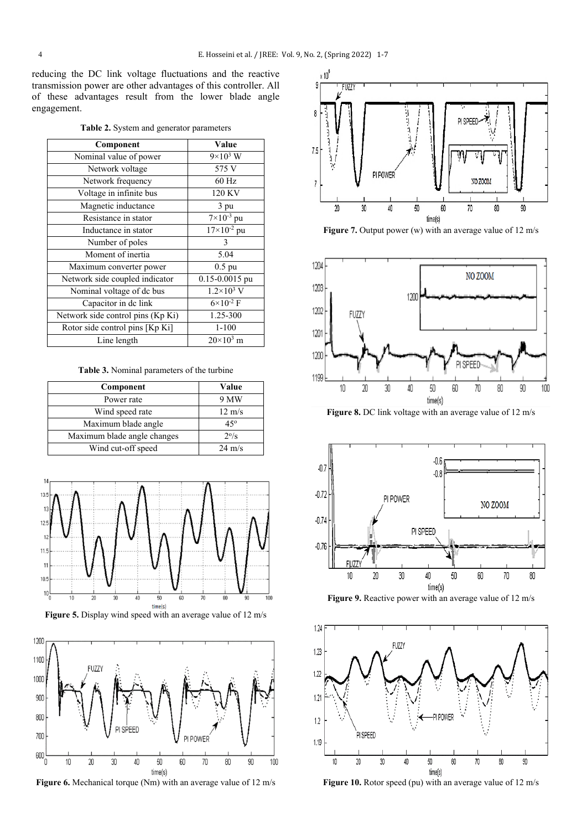reducing the DC link voltage fluctuations and the reactive transmission power are other advantages of this controller. All of these advantages result from the lower blade angle engagement.

| Table 2. System and generator parameters |  |  |  |
|------------------------------------------|--|--|--|
|------------------------------------------|--|--|--|

| Component                         | Value                                |
|-----------------------------------|--------------------------------------|
| Nominal value of power            | $9\times10^3$ W                      |
| Network voltage                   | 575 V                                |
| Network frequency                 | $60$ Hz                              |
| Voltage in infinite bus           | 120 KV                               |
| Magnetic inductance               | 3 pu                                 |
| Resistance in stator              | $7\times10^{-3}$ pu                  |
| Inductance in stator              | $\frac{17}{2}$ × 10 <sup>-2</sup> pu |
| Number of poles                   | 3                                    |
| Moment of inertia                 | 5.04                                 |
| Maximum converter power           | $0.5$ pu                             |
| Network side coupled indicator    | 0.15-0.0015 pu                       |
| Nominal voltage of dc bus         | $1.2 \times 10^3$ V                  |
| Capacitor in de link              | $6 \times 10^{-2}$ F                 |
| Network side control pins (Kp Ki) | 1.25-300                             |
| Rotor side control pins [Kp Ki]   | $1 - 100$                            |
| Line length                       | $20\times10^3$ m                     |

**Table 3.** Nominal parameters of the turbine

| Component                   | Value            |
|-----------------------------|------------------|
| Power rate                  | 9 MW             |
| Wind speed rate             | $12 \text{ m/s}$ |
| Maximum blade angle         | 45°              |
| Maximum blade angle changes | $2^{\circ}/s$    |
| Wind cut-off speed          | $24 \text{ m/s}$ |



**Figure 5.** Display wind speed with an average value of 12 m/s



**Figure 6.** Mechanical torque (Nm) with an average value of 12 m/s



**Figure 7.** Output power (w) with an average value of 12 m/s



**Figure 8.** DC link voltage with an average value of 12 m/s



Figure 9. Reactive power with an average value of 12 m/s



Figure 10. Rotor speed (pu) with an average value of 12 m/s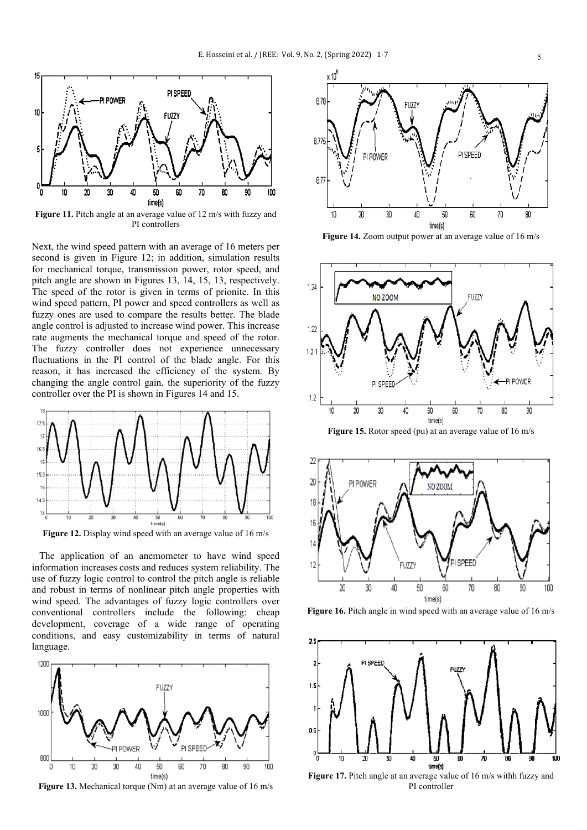

Figure 11. Pitch angle at an average value of 12 m/s with fuzzy and PI controllers

Next, the wind speed pattern with an average of 16 meters per second is given in Figure 12; in addition, simulation results for mechanical torque, transmission power, rotor speed, and pitch angle are shown in Figures 13, 14, 15, 13, respectively. The speed of the rotor is given in terms of prionite. In this wind speed pattern, PI power and speed controllers as well as fuzzy ones are used to compare the results better. The blade angle control is adjusted to increase wind power. This increase rate augments the mechanical torque and speed of the rotor. The fuzzy controller does not experience unnecessary fluctuations in the PI control of the blade angle. For this reason, it has increased the efficiency of the system. By changing the angle control gain, the superiority of the fuzzy controller over the PI is shown in Figures 14 and 15.



Figure 12. Display wind speed with an average value of 16 m/s

 The application of an anemometer to have wind speed information increases costs and reduces system reliability. The use of fuzzy logic control to control the pitch angle is reliable and robust in terms of nonlinear pitch angle properties with wind speed. The advantages of fuzzy logic controllers over conventional controllers include the following: cheap development, coverage of a wide range of operating conditions, and easy customizability in terms of natural language.



**Figure 13.** Mechanical torque (Nm) at an average value of 16 m/s



**Figure 14.** Zoom output power at an average value of 16 m/s



**Figure 15.** Rotor speed (pu) at an average value of 16 m/s



Figure 16. Pitch angle in wind speed with an average value of 16 m/s



**Figure 17.** Pitch angle at an average value of 16 m/s withh fuzzy and PI controller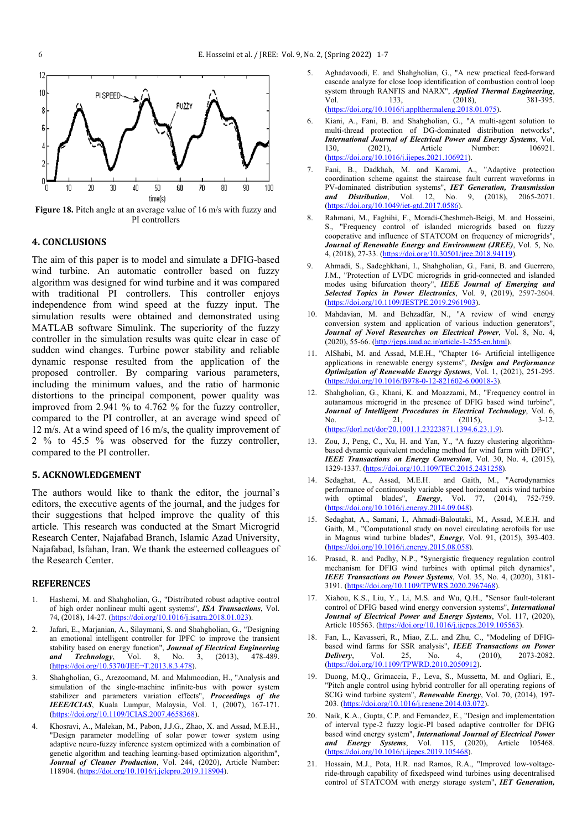

**Figure 18.** Pitch angle at an average value of 16 m/s with fuzzy and PI controllers

#### **4. CONCLUSIONS**

The aim of this paper is to model and simulate a DFIG-based wind turbine. An automatic controller based on fuzzy algorithm was designed for wind turbine and it was compared with traditional PI controllers. This controller enjoys independence from wind speed at the fuzzy input. The simulation results were obtained and demonstrated using MATLAB software Simulink. The superiority of the fuzzy controller in the simulation results was quite clear in case of sudden wind changes. Turbine power stability and reliable dynamic response resulted from the application of the proposed controller. By comparing various parameters, including the minimum values, and the ratio of harmonic distortions to the principal component, power quality was improved from 2.941 % to 4.762 % for the fuzzy controller, compared to the PI controller, at an average wind speed of 12 m/s. At a wind speed of 16 m/s, the quality improvement of 2 % to 45.5 % was observed for the fuzzy controller, compared to the PI controller.

#### **5. ACKNOWLEDGEMENT**

The authors would like to thank the editor, the journal's editors, the executive agents of the journal, and the judges for their suggestions that helped improve the quality of this article. This research was conducted at the Smart Microgrid Research Center, Najafabad Branch, Islamic Azad University, Najafabad, Isfahan, Iran. We thank the esteemed colleagues of the Research Center.

#### **REFERENCES**

- 1. Hashemi, M. and Shahgholian, G., "Distributed robust adaptive control of high order nonlinear multi agent systems", *ISA Transactions*, Vol. 74, (2018), 14-27. [\(https://doi.org/10.1016/j.isatra.2018.01.023\)](https://doi.org/10.1016/j.isatra.2018.01.023).
- 2. Jafari, E., Marjanian, A., Silaymani, S. and Shahgholian, G., "Designing an emotional intelligent controller for IPFC to improve the transient stability based on energy function", *Journal of Electrical Engineering and Technology*, Vol. 8, No. 3, (2013), 478-489. [\(https://doi.org/10.5370/JEE¬T.2013.8.3.478\)](https://doi.org/10.5370/JEE%C2%ACT.2013.8.3.478).
- 3. Shahgholian, G., Arezoomand, M. and Mahmoodian, H., "Analysis and simulation of the single-machine infinite-bus with power system stabilizer and parameters variation effects", *Proceedings of the IEEE/ICIAS*, Kuala Lumpur, Malaysia, Vol. 1, (2007), 167-171. [\(https://doi.org/10.1109/ICIAS.2007.4658368\)](https://doi.org/10.1109/ICIAS.2007.4658368).
- 4. Khosravi, A., Malekan, M., Pabon, J.J.G., Zhao, X. and Assad, M.E.H., "Design parameter modelling of solar power tower system using adaptive neuro-fuzzy inference system optimized with a combination of genetic algorithm and teaching learning-based optimization algorithm", *Journal of Cleaner Production*, Vol. 244, (2020), Article Number: 118904. [\(https://doi.org/10.1016/j.jclepro.2019.118904\)](https://doi.org/10.1016/j.jclepro.2019.118904).
- 5. [Aghadavoodi,](https://www.sciencedirect.com/science/article/pii/S1359431117358209#!) E. and [Shahgholian,](https://www.sciencedirect.com/science/article/pii/S1359431117358209#!) G., "A new practical feed-forward cascade analyze for close loop identification of combustion control loop system through RANFIS and NARX", *[Applied Thermal Engineering](https://www.sciencedirect.com/science/journal/13594311)*, Vol. 133, (2018), 381-395. [Vol. 133,](https://www.sciencedirect.com/science/journal/13594311/133/supp/C) (2018), 381-395. [\(https://doi.org/10.1016/j.applthermaleng.2018.01.075\)](https://doi.org/10.1016/j.applthermaleng.2018.01.075).
- 6. Kiani, A., Fani, B. and Shahgholian, G., ["A multi-agent solution to](https://www.sciencedirect.com/science/article/pii/S0142061521001617)  [multi-thread protection of DG-dominated distribution networks"](https://www.sciencedirect.com/science/article/pii/S0142061521001617), *International Journal of Electrical Power and Energy Systems*, Vol. 130, (2021), Article Number: 106921. [\(https://doi.org/10.1016/j.ijepes.2021.106921\)](https://doi.org/10.1016/j.ijepes.2021.106921).
- 7. Fani, B., Dadkhah, M. and Karami, A., ["Adaptive protection](https://digital-library.theiet.org/content/journals/10.1049/iet-gtd.2017.0586)  [coordination scheme against the staircase fault current waveforms in](https://digital-library.theiet.org/content/journals/10.1049/iet-gtd.2017.0586)  [PV-dominated distribution systems"](https://digital-library.theiet.org/content/journals/10.1049/iet-gtd.2017.0586), *IET Generation, Transmission and Distribution*, Vol. 12, No. 9, (2018), 2065-2071. [\(https://doi.org/10.1049/iet-gtd.2017.0586\)](https://doi.org/10.1049/iet-gtd.2017.0586).
- 8. Rahmani, M., Faghihi, F., Moradi-Cheshmeh-Beigi, M. and Hosseini, S., "Frequency control of islanded microgrids based on fuzzy cooperative and influence of STATCOM on frequency of microgrids", *Journal of Renewable Energy and Environment (JREE)*, Vol. 5, No. 4, (2018), 27-33. [\(https://doi.org/10.30501/jree.2018.94119\)](https://doi.org/10.30501/jree.2018.94119).
- 9. Ahmadi, S., Sadeghkhani, I., Shahgholian, G., Fani, B. and Guerrero, J.M., ["Protection of LVDC microgrids in grid-connected and islanded](https://ieeexplore.ieee.org/document/8939447/)  [modes using bifurcation theory"](https://ieeexplore.ieee.org/document/8939447/), *[IEEE Journal of Emerging and](https://ieeexplore.ieee.org/xpl/RecentIssue.jsp?punumber=6245517)  [Selected Topics in Power Electronics](https://ieeexplore.ieee.org/xpl/RecentIssue.jsp?punumber=6245517)*, Vol. 9, (2019), 2597-2604. [\(https://doi.org/10.1109/JESTPE.2019.2961903\)](https://doi.org/10.1109/JESTPE.2019.2961903).
- 10. Mahdavian, M. and Behzadfar, N., "A review of wind energy conversion system and application of various induction generators", *Journal of Novel Researches on Electrical Power*, Vol. 8, No. 4, (2020), 55-66. [\(http://jeps.iaud.ac.ir/article-1-255-en.html\)](http://jeps.iaud.ac.ir/article-1-255-en.html).
- 11. AlShabi, M. and Assad, M.E.H., "Chapter 16- Artificial intelligence applications in renewable energy systems", *Design and Performance Optimization of Renewable Energy Systems*, Vol. 1, (2021), 251-295. [\(https://doi.org/10.1016/B978-0-12-821602-6.00018-3\)](https://doi.org/10.1016/B978-0-12-821602-6.00018-3).
- 12. Shahgholian, G., Khani, K. and Moazzami, M., "Frequency control in autanamous microgrid in the presence of DFIG based wind turbine", *Journal of Intelligent Procedures in Electrical Technology*, [Vol. 6,](http://jipet.iaun.ac.ir/issue_671_680_Volume+4%2C+Issue+15%2C+Autumn+2013%2C+Page+1-100.html)  [No. 21, \(2015\), 3](http://jipet.iaun.ac.ir/issue_671_680_Volume+4%2C+Issue+15%2C+Autumn+2013%2C+Page+1-100.html)-12. [\(https://dorl.net/dor/20.1001.1.23223871.1394.6.23.1.9\).](https://dorl.net/dor/20.1001.1.23223871.1394.6.23.1.9)
- 13. Zou, J., Peng, C., Xu, H. and Yan, Y., "A fuzzy clustering algorithmbased dynamic equivalent modeling method for wind farm with DFIG", *IEEE Transactions on Energy Conversion*, Vol. 30, No. 4, (2015), 1329-1337. [\(https://doi.org/10.1109/TEC.2015.2431258\)](https://doi.org/10.1109/TEC.2015.2431258).
- 14. Sedaghat, A., Assad, M.E.H. and Gaith, M., "Aerodynamics performance of continuously variable speed horizontal axis wind turbine<br>with optimal blades", **Energy**, Vol. 77, (2014), 752-759. with optimal blades", *Energy*, Vol. 77, (2014), 752-759. [\(https://doi.org/10.1016/j.energy.2014.09.048\)](https://doi.org/10.1016/j.energy.2014.09.048).
- 15. Sedaghat, A., Samani, I., Ahmadi-Baloutaki, M., Assad, M.E.H. and Gaith, M., "Computational study on novel circulating aerofoils for use in Magnus wind turbine blades", *Energy*, Vol. 91, (2015), 393-403. [\(https://doi.org/10.1016/j.energy.2015.08.058\)](https://doi.org/10.1016/j.energy.2015.08.058).
- 16. Prasad, R. and Padhy, N.P., "Synergistic frequency regulation control mechanism for DFIG wind turbines with optimal pitch dynamics", *IEEE Transactions on Power Systems*, Vol. 35, No. 4, (2020), 3181- 3191. [\(https://doi.org/10.1109/TPWRS.2020.2967468\)](https://doi.org/10.1109/TPWRS.2020.2967468).
- 17. Xiahou, K.S., Liu, Y., Li, M.S. and Wu, Q.H., ["Sensor fault-tolerant](https://www.sciencedirect.com/science/article/pii/S0142061519323713)  [control of DFIG based](https://www.sciencedirect.com/science/article/pii/S0142061519323713) wind energy conversion systems", *[International](https://www.sciencedirect.com/science/journal/01420615)  Journal [of Electrical Power and Energy](https://www.sciencedirect.com/science/journal/01420615) Systems*, Vol. 117, (2020), Article 105563. [\(https://doi.org/10.1016/j.ijepes.2019.105563\)](https://doi.org/10.1016/j.ijepes.2019.105563).
- 18. [Fan,](http://ieeexplore.ieee.org/search/searchresult.jsp?searchWithin=%22Authors%22:.QT.Lingling%20Fan.QT.&newsearch=true) L., [Kavasseri, R](http://ieeexplore.ieee.org/search/searchresult.jsp?searchWithin=%22Authors%22:.QT.Kavasseri,%20R..QT.&newsearch=true)., [Miao,](http://ieeexplore.ieee.org/search/searchresult.jsp?searchWithin=%22Authors%22:.QT.Zhixin%20Lee%20Miao.QT.&newsearch=true) Z.L. and [Zhu,](http://ieeexplore.ieee.org/search/searchresult.jsp?searchWithin=%22Authors%22:.QT.Chanxia%20Zhu.QT.&newsearch=true) C., "Modeling of DFIGbased wind farms for SSR analysis", *IEEE Transactions* on *Power Delivery*. Vol. 25. No. 4. (2010). 2073-2082. *[Delivery](http://ieeexplore.ieee.org/xpl/RecentIssue.jsp?punumber=61)*, Vol. 25, No. 4, [\(https://doi.org/10.1109/TPWRD.2010.2050912\)](https://doi.org/10.1109/TPWRD.2010.2050912).
- 19. [Duong,](http://www.sciencedirect.com/science/article/pii/S0960148114002481) M.Q., [Grimaccia,](http://www.sciencedirect.com/science/article/pii/S0960148114002481) F., [Leva,](http://www.sciencedirect.com/science/article/pii/S0960148114002481) S., [Mussetta,](http://www.sciencedirect.com/science/article/pii/S0960148114002481) M. and [Ogliari,](http://www.sciencedirect.com/science/article/pii/S0960148114002481) E., "Pitch angle control using hybrid controller for all operating regions of SCIG wind turbine system", *[Renewable](http://www.sciencedirect.com/science/journal/09601481) Energy*, [Vol.](http://www.sciencedirect.com/science/journal/09601481/70/supp/C) 70, (2014), 197- 203. [\(https://doi.org/10.1016/j.renene.2014.03.072\)](https://doi.org/10.1016/j.renene.2014.03.072).
- 20. Naik, K.A., Gupta, C.P. and Fernandez, E., ["Design and implementation](https://www.sciencedirect.com/science/article/pii/S0142061518333258)  of [interval type-2 fuzzy logic-PI based adaptive controller for](https://www.sciencedirect.com/science/article/pii/S0142061518333258) DFIG [based wind energy system"](https://www.sciencedirect.com/science/article/pii/S0142061518333258), *[International Journal of Electrical Power](https://www.sciencedirect.com/science/journal/01420615)  [and Energy Systems](https://www.sciencedirect.com/science/journal/01420615)*, Vol. 115, (2020), Article 105468. [\(https://doi.org/10.1016/j.ijepes.2019.105468\)](https://doi.org/10.1016/j.ijepes.2019.105468).
- 21. [Hossain, M](http://ieeexplore.ieee.org/search/searchresult.jsp?searchWithin=%22Authors%22:.QT.Hossain,%20M.J..QT.&newsearch=true).J., [Pota, H](http://ieeexplore.ieee.org/search/searchresult.jsp?searchWithin=%22Authors%22:.QT.Pota,%20H.R..QT.&newsearch=true).R. nad [Ramos, R](http://ieeexplore.ieee.org/search/searchresult.jsp?searchWithin=%22Authors%22:.QT.Ramos,%20R.A..QT.&newsearch=true).A., "Improved low-voltageride-through capability of fixedspeed wind turbines using decentralised control of STATCOM with energy storage system", *IET [Generation,](http://ieeexplore.ieee.org/xpl/RecentIssue.jsp?punumber=4082359)*